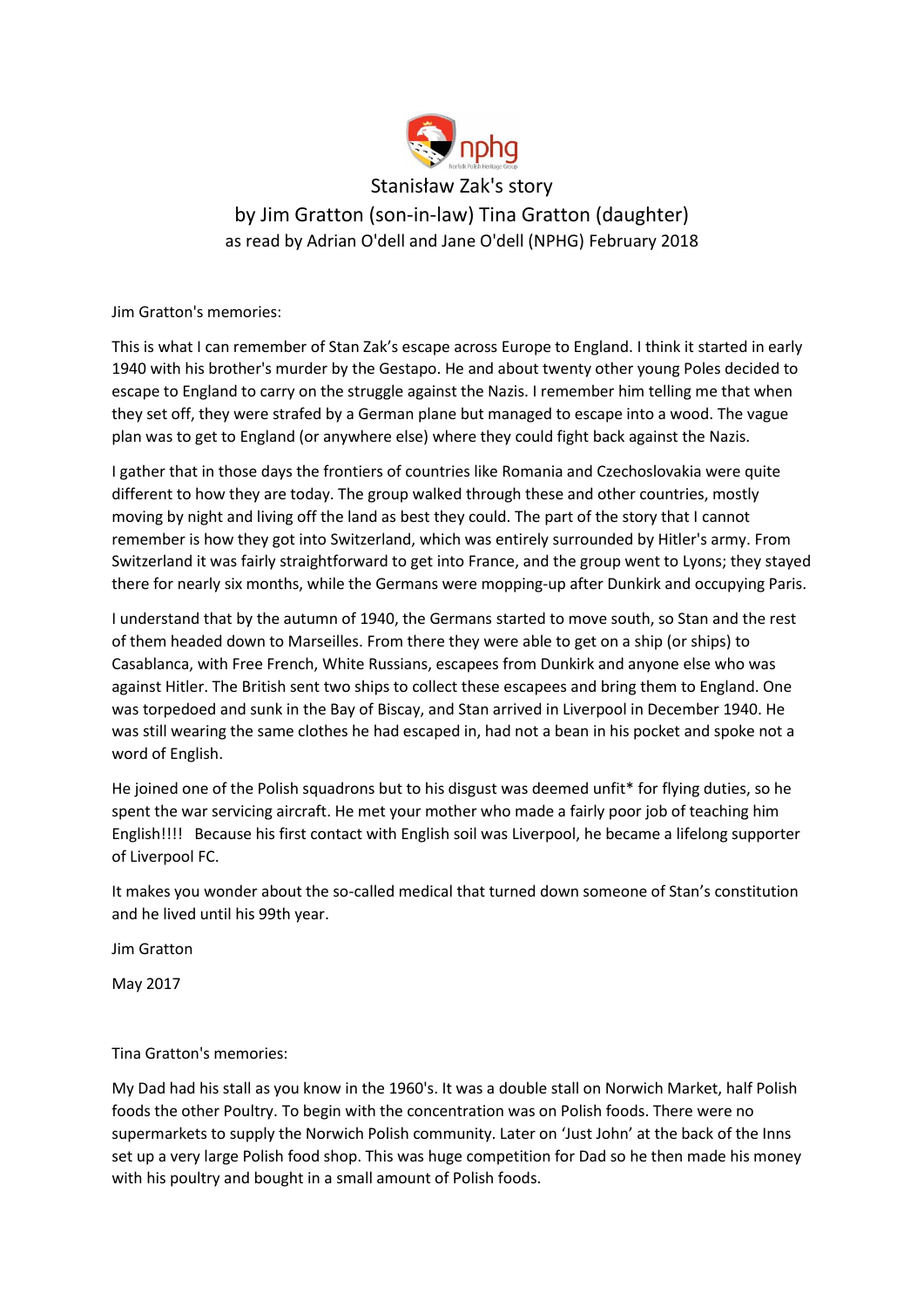

## Stanisław Zak's story by Jim Gratton (son-in-law) Tina Gratton (daughter) as read by Adrian O'dell and Jane O'dell (NPHG) February 2018

Jim Gratton's memories:

This is what I can remember of Stan Zak's escape across Europe to England. I think it started in early 1940 with his brother's murder by the Gestapo. He and about twenty other young Poles decided to escape to England to carry on the struggle against the Nazis. I remember him telling me that when they set off, they were strafed by a German plane but managed to escape into a wood. The vague plan was to get to England (or anywhere else) where they could fight back against the Nazis.

I gather that in those days the frontiers of countries like Romania and Czechoslovakia were quite different to how they are today. The group walked through these and other countries, mostly moving by night and living off the land as best they could. The part of the story that I cannot remember is how they got into Switzerland, which was entirely surrounded by Hitler's army. From Switzerland it was fairly straightforward to get into France, and the group went to Lyons; they stayed there for nearly six months, while the Germans were mopping-up after Dunkirk and occupying Paris.

I understand that by the autumn of 1940, the Germans started to move south, so Stan and the rest of them headed down to Marseilles. From there they were able to get on a ship (or ships) to Casablanca, with Free French, White Russians, escapees from Dunkirk and anyone else who was against Hitler. The British sent two ships to collect these escapees and bring them to England. One was torpedoed and sunk in the Bay of Biscay, and Stan arrived in Liverpool in December 1940. He was still wearing the same clothes he had escaped in, had not a bean in his pocket and spoke not a word of English.

He joined one of the Polish squadrons but to his disgust was deemed unfit\* for flying duties, so he spent the war servicing aircraft. He met your mother who made a fairly poor job of teaching him English!!!! Because his first contact with English soil was Liverpool, he became a lifelong supporter of Liverpool FC.

It makes you wonder about the so-called medical that turned down someone of Stan's constitution and he lived until his 99th year.

Jim Gratton

May 2017

Tina Gratton's memories:

My Dad had his stall as you know in the 1960's. It was a double stall on Norwich Market, half Polish foods the other Poultry. To begin with the concentration was on Polish foods. There were no supermarkets to supply the Norwich Polish community. Later on 'Just John' at the back of the Inns set up a very large Polish food shop. This was huge competition for Dad so he then made his money with his poultry and bought in a small amount of Polish foods.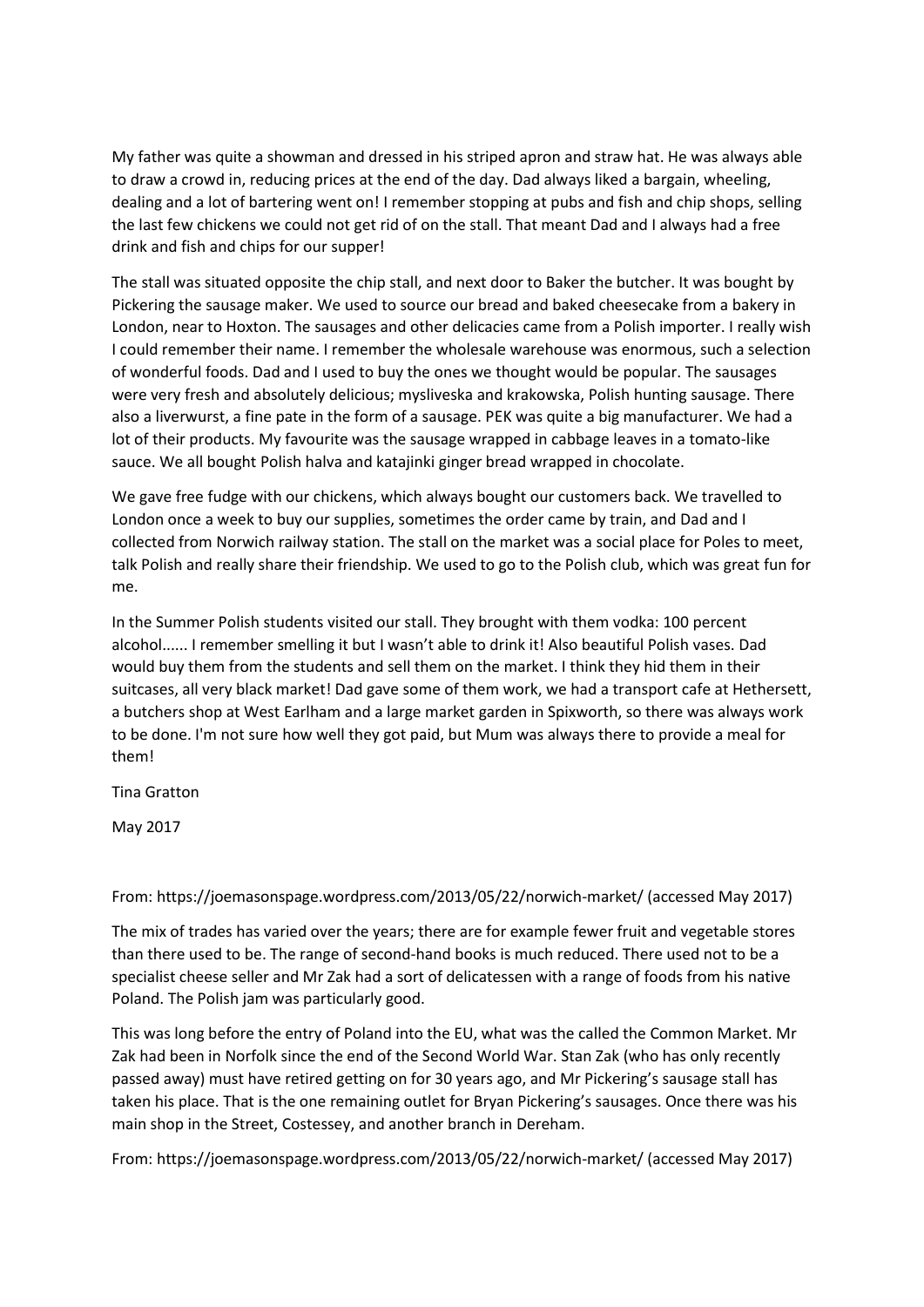My father was quite a showman and dressed in his striped apron and straw hat. He was always able to draw a crowd in, reducing prices at the end of the day. Dad always liked a bargain, wheeling, dealing and a lot of bartering went on! I remember stopping at pubs and fish and chip shops, selling the last few chickens we could not get rid of on the stall. That meant Dad and I always had a free drink and fish and chips for our supper!

The stall was situated opposite the chip stall, and next door to Baker the butcher. It was bought by Pickering the sausage maker. We used to source our bread and baked cheesecake from a bakery in London, near to Hoxton. The sausages and other delicacies came from a Polish importer. I really wish I could remember their name. I remember the wholesale warehouse was enormous, such a selection of wonderful foods. Dad and I used to buy the ones we thought would be popular. The sausages were very fresh and absolutely delicious; mysliveska and krakowska, Polish hunting sausage. There also a liverwurst, a fine pate in the form of a sausage. PEK was quite a big manufacturer. We had a lot of their products. My favourite was the sausage wrapped in cabbage leaves in a tomato-like sauce. We all bought Polish halva and katajinki ginger bread wrapped in chocolate.

We gave free fudge with our chickens, which always bought our customers back. We travelled to London once a week to buy our supplies, sometimes the order came by train, and Dad and I collected from Norwich railway station. The stall on the market was a social place for Poles to meet, talk Polish and really share their friendship. We used to go to the Polish club, which was great fun for me.

In the Summer Polish students visited our stall. They brought with them vodka: 100 percent alcohol...... I remember smelling it but I wasn't able to drink it! Also beautiful Polish vases. Dad would buy them from the students and sell them on the market. I think they hid them in their suitcases, all very black market! Dad gave some of them work, we had a transport cafe at Hethersett, a butchers shop at West Earlham and a large market garden in Spixworth, so there was always work to be done. I'm not sure how well they got paid, but Mum was always there to provide a meal for them!

Tina Gratton

May 2017

## From: https://joemasonspage.wordpress.com/2013/05/22/norwich-market/ (accessed May 2017)

The mix of trades has varied over the years; there are for example fewer fruit and vegetable stores than there used to be. The range of second-hand books is much reduced. There used not to be a specialist cheese seller and Mr Zak had a sort of delicatessen with a range of foods from his native Poland. The Polish jam was particularly good.

This was long before the entry of Poland into the EU, what was the called the Common Market. Mr Zak had been in Norfolk since the end of the Second World War. Stan Zak (who has only recently passed away) must have retired getting on for 30 years ago, and Mr Pickering's sausage stall has taken his place. That is the one remaining outlet for Bryan Pickering's sausages. Once there was his main shop in the Street, Costessey, and another branch in Dereham.

From:<https://joemasonspage.wordpress.com/2013/05/22/norwich-market/> (accessed May 2017)